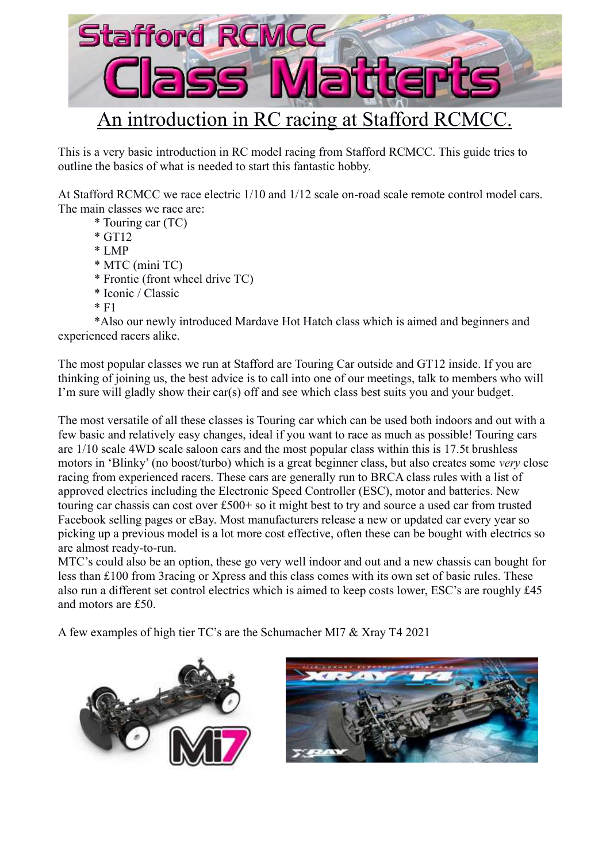

This is a very basic introduction in RC model racing from Stafford RCMCC. This guide tries to outline the basics of what is needed to start this fantastic hobby.

At Stafford RCMCC we race electric 1/10 and 1/12 scale on-road scale remote control model cars. The main classes we race are:

- \* Touring car (TC)
- \* GT12
- \* LMP
- \* MTC (mini TC)
- \* Frontie (front wheel drive TC)
- \* Iconic / Classic
- $*$  F1

\*Also our newly introduced Mardave Hot Hatch class which is aimed and beginners and experienced racers alike.

The most popular classes we run at Stafford are Touring Car outside and GT12 inside. If you are thinking of joining us, the best advice is to call into one of our meetings, talk to members who will I'm sure will gladly show their car(s) off and see which class best suits you and your budget.

The most versatile of all these classes is Touring car which can be used both indoors and out with a few basic and relatively easy changes, ideal if you want to race as much as possible! Touring cars are 1/10 scale 4WD scale saloon cars and the most popular class within this is 17.5t brushless motors in 'Blinky' (no boost/turbo) which is a great beginner class, but also creates some *very* close racing from experienced racers. These cars are generally run to BRCA class rules with a list of approved electrics including the Electronic Speed Controller (ESC), motor and batteries. New touring car chassis can cost over £500+ so it might best to try and source a used car from trusted Facebook selling pages or eBay. Most manufacturers release a new or updated car every year so picking up a previous model is a lot more cost effective, often these can be bought with electrics so are almost ready-to-run.

MTC's could also be an option, these go very well indoor and out and a new chassis can bought for less than £100 from 3racing or Xpress and this class comes with its own set of basic rules. These also run a different set control electrics which is aimed to keep costs lower, ESC's are roughly £45 and motors are £50.

A few examples of high tier TC's are the Schumacher MI7 & Xray T4 2021



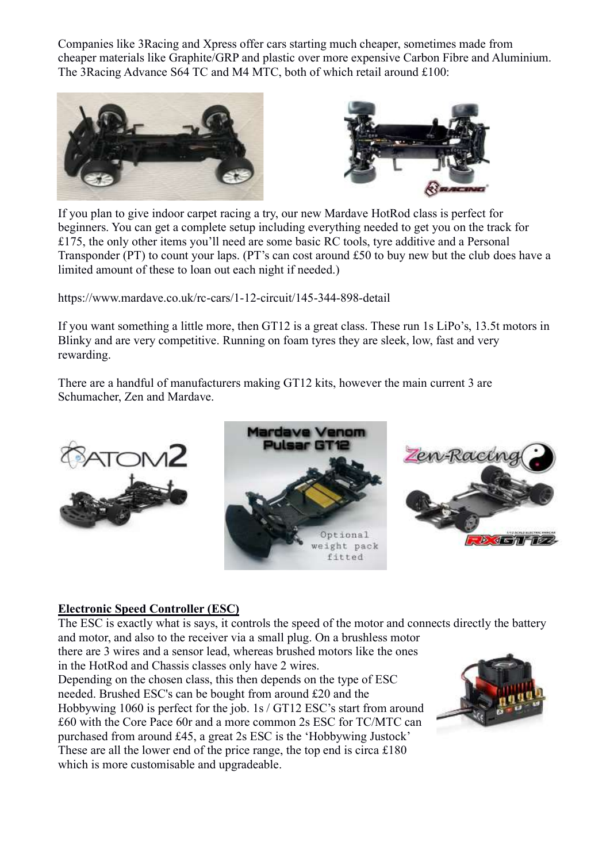Companies like 3Racing and Xpress offer cars starting much cheaper, sometimes made from cheaper materials like Graphite/GRP and plastic over more expensive Carbon Fibre and Aluminium. The 3Racing Advance S64 TC and M4 MTC, both of which retail around £100:





If you plan to give indoor carpet racing a try, our new Mardave HotRod class is perfect for beginners. You can get a complete setup including everything needed to get you on the track for £175, the only other items you'll need are some basic RC tools, tyre additive and a Personal Transponder (PT) to count your laps. (PT's can cost around £50 to buy new but the club does have a limited amount of these to loan out each night if needed.)

https://www.mardave.co.uk/rc-cars/1-12-circuit/145-344-898-detail

If you want something a little more, then GT12 is a great class. These run 1s LiPo's, 13.5t motors in Blinky and are very competitive. Running on foam tyres they are sleek, low, fast and very rewarding.

There are a handful of manufacturers making GT12 kits, however the main current 3 are Schumacher, Zen and Mardave.







## **Electronic Speed Controller (ESC)**

which is more customisable and upgradeable.

The ESC is exactly what is says, it controls the speed of the motor and connects directly the battery and motor, and also to the receiver via a small plug. On a brushless motor

there are 3 wires and a sensor lead, whereas brushed motors like the ones in the HotRod and Chassis classes only have 2 wires. Depending on the chosen class, this then depends on the type of ESC needed. Brushed ESC's can be bought from around £20 and the Hobbywing 1060 is perfect for the job. 1s / GT12 ESC's start from around £60 with the Core Pace 60r and a more common 2s ESC for TC/MTC can purchased from around £45, a great 2s ESC is the 'Hobbywing Justock' These are all the lower end of the price range, the top end is circa £180

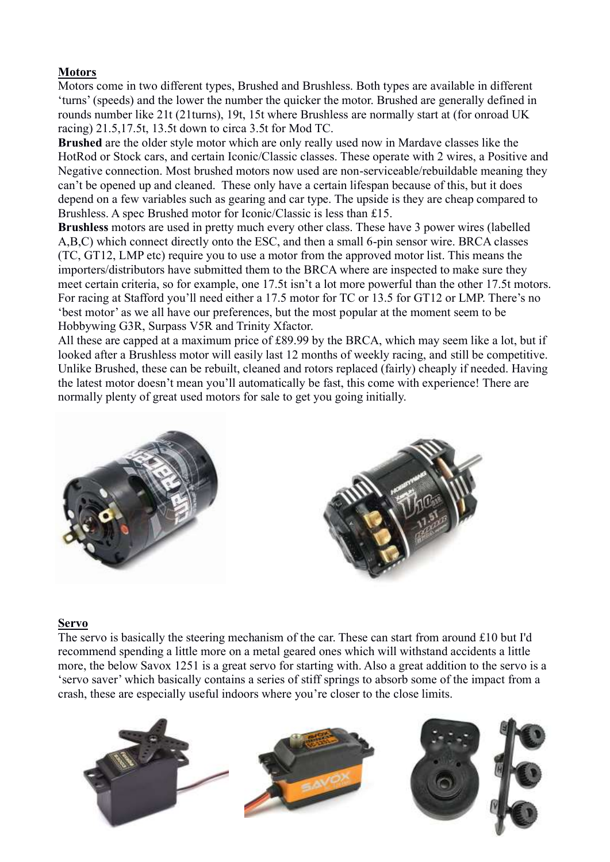# **Motors**

Motors come in two different types, Brushed and Brushless. Both types are available in different 'turns' (speeds) and the lower the number the quicker the motor. Brushed are generally defined in rounds number like 21t (21turns), 19t, 15t where Brushless are normally start at (for onroad UK racing) 21.5,17.5t, 13.5t down to circa 3.5t for Mod TC.

**Brushed** are the older style motor which are only really used now in Mardave classes like the HotRod or Stock cars, and certain Iconic/Classic classes. These operate with 2 wires, a Positive and Negative connection. Most brushed motors now used are non-serviceable/rebuildable meaning they can't be opened up and cleaned. These only have a certain lifespan because of this, but it does depend on a few variables such as gearing and car type. The upside is they are cheap compared to Brushless. A spec Brushed motor for Iconic/Classic is less than £15.

**Brushless** motors are used in pretty much every other class. These have 3 power wires (labelled A,B,C) which connect directly onto the ESC, and then a small 6-pin sensor wire. BRCA classes (TC, GT12, LMP etc) require you to use a motor from the approved motor list. This means the importers/distributors have submitted them to the BRCA where are inspected to make sure they meet certain criteria, so for example, one 17.5t isn't a lot more powerful than the other 17.5t motors. For racing at Stafford you'll need either a 17.5 motor for TC or 13.5 for GT12 or LMP. There's no 'best motor' as we all have our preferences, but the most popular at the moment seem to be Hobbywing G3R, Surpass V5R and Trinity Xfactor.

All these are capped at a maximum price of £89.99 by the BRCA, which may seem like a lot, but if looked after a Brushless motor will easily last 12 months of weekly racing, and still be competitive. Unlike Brushed, these can be rebuilt, cleaned and rotors replaced (fairly) cheaply if needed. Having the latest motor doesn't mean you'll automatically be fast, this come with experience! There are normally plenty of great used motors for sale to get you going initially.



#### **Servo**

The servo is basically the steering mechanism of the car. These can start from around £10 but I'd recommend spending a little more on a metal geared ones which will withstand accidents a little more, the below Savox 1251 is a great servo for starting with. Also a great addition to the servo is a 'servo saver' which basically contains a series of stiff springs to absorb some of the impact from a crash, these are especially useful indoors where you're closer to the close limits.

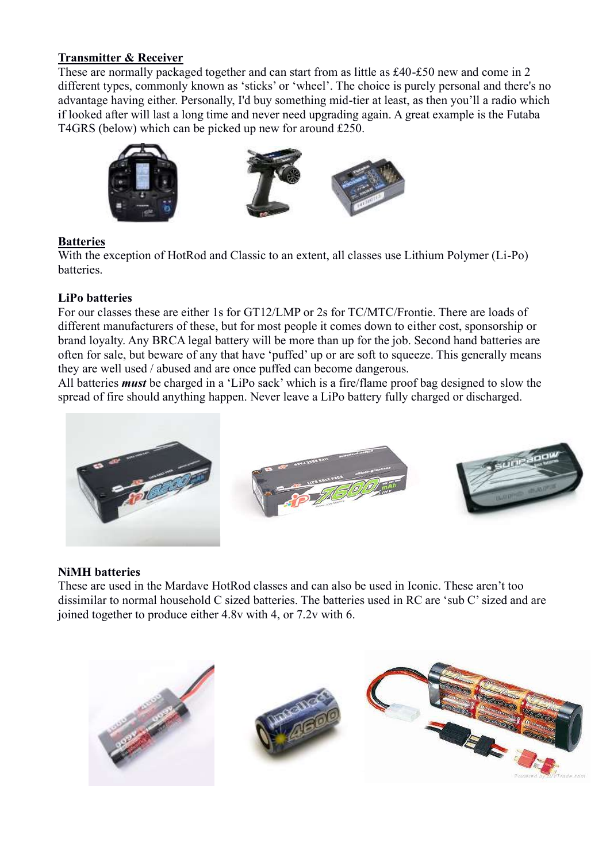#### **Transmitter & Receiver**

These are normally packaged together and can start from as little as £40-£50 new and come in 2 different types, commonly known as 'sticks' or 'wheel'. The choice is purely personal and there's no advantage having either. Personally, I'd buy something mid-tier at least, as then you'll a radio which if looked after will last a long time and never need upgrading again. A great example is the Futaba T4GRS (below) which can be picked up new for around £250.



### **Batteries**

With the exception of HotRod and Classic to an extent, all classes use Lithium Polymer (Li-Po) batteries.

#### **LiPo batteries**

For our classes these are either 1s for GT12/LMP or 2s for TC/MTC/Frontie. There are loads of different manufacturers of these, but for most people it comes down to either cost, sponsorship or brand loyalty. Any BRCA legal battery will be more than up for the job. Second hand batteries are often for sale, but beware of any that have 'puffed' up or are soft to squeeze. This generally means they are well used / abused and are once puffed can become dangerous.

All batteries *must* be charged in a 'LiPo sack' which is a fire/flame proof bag designed to slow the spread of fire should anything happen. Never leave a LiPo battery fully charged or discharged.



#### **NiMH batteries**

These are used in the Mardave HotRod classes and can also be used in Iconic. These aren't too dissimilar to normal household C sized batteries. The batteries used in RC are 'sub C' sized and are joined together to produce either 4.8v with 4, or 7.2v with 6.